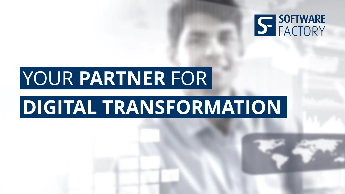

## YOUR **PARTNER** FOR

## **DIGITAL TRANSFORMATION**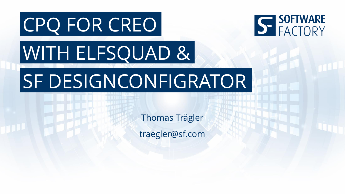# CPQ FOR CREO WITH ELFSQUAD & SF DESIGNCONFIGRATOR

Thomas Trägler traegler@sf.com S SOFTWARE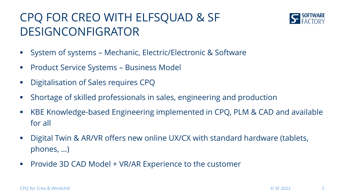#### CPQ FOR CREO WITH ELFSQUAD & SF DESIGNCONFIGRATOR



- System of systems Mechanic, Electric/Electronic & Software
- **Product Service Systems Business Model**
- **Digitalisation of Sales requires CPQ**
- Shortage of skilled professionals in sales, engineering and production
- KBE Knowledge-based Engineering implemented in CPQ, PLM & CAD and available for all
- Digital Twin & AR/VR offers new online UX/CX with standard hardware (tablets, phones, …)
- **Provide 3D CAD Model + VR/AR Experience to the customer**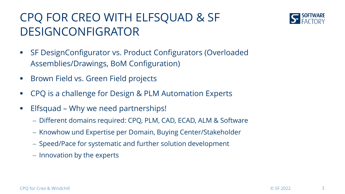#### CPQ FOR CREO WITH ELFSQUAD & SF DESIGNCONFIGRATOR



- SF DesignConfigurator vs. Product Configurators (Overloaded Assemblies/Drawings, BoM Configuration)
- **Brown Field vs. Green Field projects**
- CPQ is a challenge for Design & PLM Automation Experts
- **Elfsquad Why we need partnerships!** 
	- Different domains required: CPQ, PLM, CAD, ECAD, ALM & Software
	- Knowhow und Expertise per Domain, Buying Center/Stakeholder
	- Speed/Pace for systematic and further solution development
	- Innovation by the experts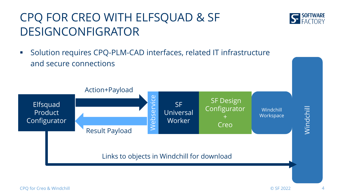#### CPQ FOR CREO WITH ELFSQUAD & SF DESIGNCONFIGRATOR

 Solution requires CPQ-PLM-CAD interfaces, related IT infrastructure and secure connections



**S SOFTWARE**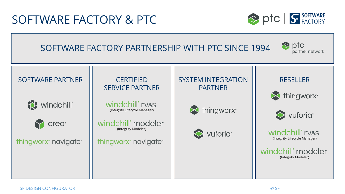#### SOFTWARE FACTORY & PTC